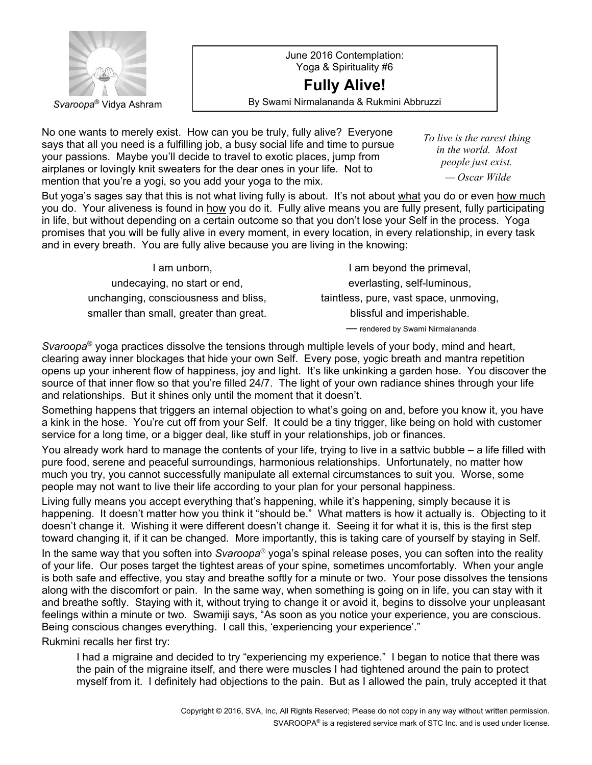

June 2016 Contemplation: Yoga & Spirituality #6 **Fully Alive!**

Svaroopa<sup>®</sup> Vidya Ashram **By Swami Nirmalananda & Rukmini Abbruzzi** 

No one wants to merely exist. How can you be truly, fully alive? Everyone says that all you need is a fulfilling job, a busy social life and time to pursue your passions. Maybe you'll decide to travel to exotic places, jump from airplanes or lovingly knit sweaters for the dear ones in your life. Not to mention that you're a yogi, so you add your yoga to the mix.

*To live is the rarest thing in the world. Most people just exist. — Oscar Wilde*

But yoga's sages say that this is not what living fully is about. It's not about what you do or even how much you do. Your aliveness is found in how you do it. Fully alive means you are fully present, fully participating in life, but without depending on a certain outcome so that you don't lose your Self in the process. Yoga promises that you will be fully alive in every moment, in every location, in every relationship, in every task and in every breath. You are fully alive because you are living in the knowing:

 I am unborn, undecaying, no start or end, unchanging, consciousness and bliss, smaller than small, greater than great.

I am beyond the primeval, everlasting, self-luminous, taintless, pure, vast space, unmoving, blissful and imperishable.

— rendered by Swami Nirmalananda

*Svaroopa***®** yoga practices dissolve the tensions through multiple levels of your body, mind and heart, clearing away inner blockages that hide your own Self. Every pose, yogic breath and mantra repetition opens up your inherent flow of happiness, joy and light. It's like unkinking a garden hose. You discover the source of that inner flow so that you're filled 24/7. The light of your own radiance shines through your life and relationships. But it shines only until the moment that it doesn't.

Something happens that triggers an internal objection to what's going on and, before you know it, you have a kink in the hose. You're cut off from your Self. It could be a tiny trigger, like being on hold with customer service for a long time, or a bigger deal, like stuff in your relationships, job or finances.

You already work hard to manage the contents of your life, trying to live in a sattvic bubble – a life filled with pure food, serene and peaceful surroundings, harmonious relationships. Unfortunately, no matter how much you try, you cannot successfully manipulate all external circumstances to suit you. Worse, some people may not want to live their life according to your plan for your personal happiness.

Living fully means you accept everything that's happening, while it's happening, simply because it is happening. It doesn't matter how you think it "should be." What matters is how it actually is. Objecting to it doesn't change it. Wishing it were different doesn't change it. Seeing it for what it is, this is the first step toward changing it, if it can be changed. More importantly, this is taking care of yourself by staying in Self.

In the same way that you soften into *Svaroopa*® yoga's spinal release poses, you can soften into the reality of your life. Our poses target the tightest areas of your spine, sometimes uncomfortably. When your angle is both safe and effective, you stay and breathe softly for a minute or two. Your pose dissolves the tensions along with the discomfort or pain. In the same way, when something is going on in life, you can stay with it and breathe softly. Staying with it, without trying to change it or avoid it, begins to dissolve your unpleasant feelings within a minute or two. Swamiji says, "As soon as you notice your experience, you are conscious. Being conscious changes everything. I call this, 'experiencing your experience'."

Rukmini recalls her first try:

I had a migraine and decided to try "experiencing my experience." I began to notice that there was the pain of the migraine itself, and there were muscles I had tightened around the pain to protect myself from it. I definitely had objections to the pain. But as I allowed the pain, truly accepted it that